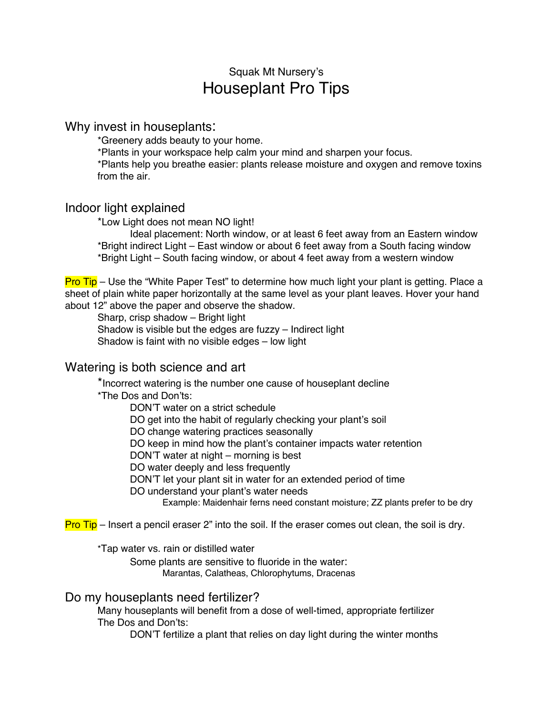# Squak Mt Nursery's Houseplant Pro Tips

### Why invest in houseplants:

\*Greenery adds beauty to your home.

\*Plants in your workspace help calm your mind and sharpen your focus.

\*Plants help you breathe easier: plants release moisture and oxygen and remove toxins from the air.

## Indoor light explained

\*Low Light does not mean NO light!

Ideal placement: North window, or at least 6 feet away from an Eastern window \*Bright indirect Light – East window or about 6 feet away from a South facing window \*Bright Light – South facing window, or about 4 feet away from a western window

Pro Tip – Use the "White Paper Test" to determine how much light your plant is getting. Place a sheet of plain white paper horizontally at the same level as your plant leaves. Hover your hand about 12" above the paper and observe the shadow.

Sharp, crisp shadow – Bright light

Shadow is visible but the edges are fuzzy – Indirect light Shadow is faint with no visible edges – low light

# Watering is both science and art

\*Incorrect watering is the number one cause of houseplant decline \*The Dos and Don'ts:

DON'T water on a strict schedule

DO get into the habit of regularly checking your plant's soil

DO change watering practices seasonally

DO keep in mind how the plant's container impacts water retention

DON'T water at night – morning is best

DO water deeply and less frequently

DON'T let your plant sit in water for an extended period of time

DO understand your plant's water needs

Example: Maidenhair ferns need constant moisture; ZZ plants prefer to be dry

**Pro Tip** – Insert a pencil eraser 2" into the soil. If the eraser comes out clean, the soil is dry.

\*Tap water vs. rain or distilled water

Some plants are sensitive to fluoride in the water: Marantas, Calatheas, Chlorophytums, Dracenas

#### Do my houseplants need fertilizer?

Many houseplants will benefit from a dose of well-timed, appropriate fertilizer The Dos and Don'ts:

DON'T fertilize a plant that relies on day light during the winter months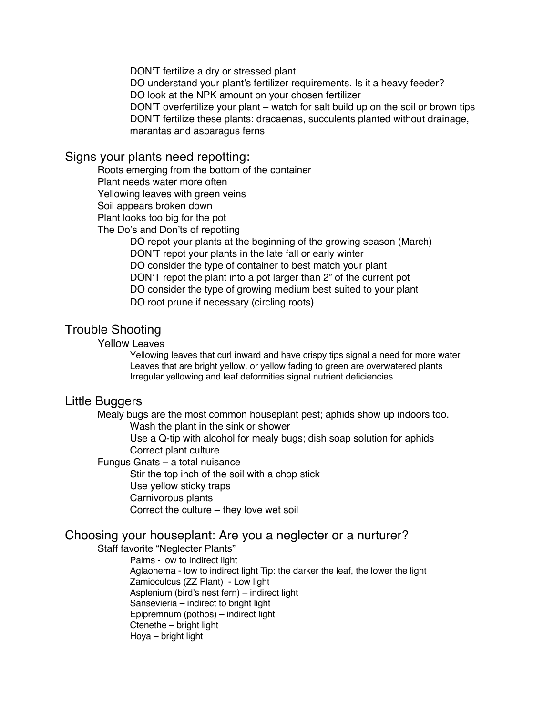DON'T fertilize a dry or stressed plant

DO understand your plant's fertilizer requirements. Is it a heavy feeder? DO look at the NPK amount on your chosen fertilizer

DON'T overfertilize your plant – watch for salt build up on the soil or brown tips DON'T fertilize these plants: dracaenas, succulents planted without drainage, marantas and asparagus ferns

#### Signs your plants need repotting:

Roots emerging from the bottom of the container

Plant needs water more often

Yellowing leaves with green veins

Soil appears broken down

Plant looks too big for the pot

The Do's and Don'ts of repotting

DO repot your plants at the beginning of the growing season (March) DON'T repot your plants in the late fall or early winter DO consider the type of container to best match your plant DON'T repot the plant into a pot larger than 2" of the current pot DO consider the type of growing medium best suited to your plant DO root prune if necessary (circling roots)

## Trouble Shooting

#### Yellow Leaves

Yellowing leaves that curl inward and have crispy tips signal a need for more water Leaves that are bright yellow, or yellow fading to green are overwatered plants Irregular yellowing and leaf deformities signal nutrient deficiencies

## Little Buggers

Mealy bugs are the most common houseplant pest; aphids show up indoors too. Wash the plant in the sink or shower

> Use a Q-tip with alcohol for mealy bugs; dish soap solution for aphids Correct plant culture

Fungus Gnats – a total nuisance

Stir the top inch of the soil with a chop stick Use yellow sticky traps Carnivorous plants Correct the culture – they love wet soil

# Choosing your houseplant: Are you a neglecter or a nurturer?

Staff favorite "Neglecter Plants"

Palms - low to indirect light

Aglaonema - low to indirect light Tip: the darker the leaf, the lower the light Zamioculcus (ZZ Plant) - Low light Asplenium (bird's nest fern) – indirect light Sansevieria – indirect to bright light Epipremnum (pothos) – indirect light Ctenethe – bright light Hoya – bright light